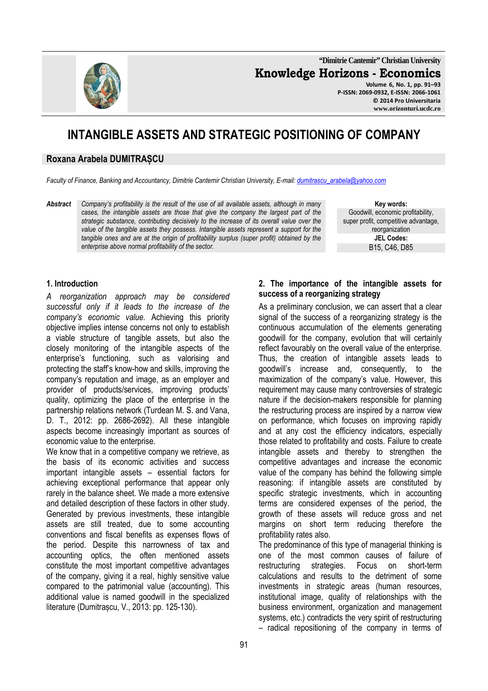**"Dimitrie Cantemir" Christian University Knowledge Horizons - Economics Volume 6, No. 1, pp. 91–93** 

**P-ISSN: 2069-0932, E-ISSN: 2066-1061 © 2014 Pro Universitaria www.orizonturi.ucdc.ro**

# **INTANGIBLE ASSETS AND STRATEGIC POSITIONING OF COMPANY**

#### **Roxana Arabela DUMITRAȘCU**

*Faculty of Finance, Banking and Accountancy, Dimitrie Cantemir Christian University, E-mail: dumitrascu\_arabela@yahoo.com*

*Abstract Company's profitability is the result of the use of all available assets, although in many cases, the intangible assets are those that give the company the largest part of the strategic substance, contributing decisively to the increase of its overall value over the value of the tangible assets they possess. Intangible assets represent a support for the tangible ones and are at the origin of profitability surplus (super profit) obtained by the enterprise above normal profitability of the sector.* 

**Key words:** Goodwill, economic profitability, super profit, competitive advantage, reorganization **JEL Codes:** B15, C46, D85

#### **1. Introduction**

*A reorganization approach may be considered successful only if it leads to the increase of the company's economic value.* Achieving this priority objective implies intense concerns not only to establish a viable structure of tangible assets, but also the closely monitoring of the intangible aspects of the enterprise's functioning, such as valorising and protecting the staff's know-how and skills, improving the company's reputation and image, as an employer and provider of products/services, improving products' quality, optimizing the place of the enterprise in the partnership relations network (Turdean M. S. and Vana, D. T., 2012: pp. 2686-2692). All these intangible aspects become increasingly important as sources of economic value to the enterprise.

We know that in a competitive company we retrieve, as the basis of its economic activities and success important intangible assets – essential factors for achieving exceptional performance that appear only rarely in the balance sheet. We made a more extensive and detailed description of these factors in other study. Generated by previous investments, these intangible assets are still treated, due to some accounting conventions and fiscal benefits as expenses flows of the period. Despite this narrowness of tax and accounting optics, the often mentioned assets constitute the most important competitive advantages of the company, giving it a real, highly sensitive value compared to the patrimonial value (accounting). This additional value is named goodwill in the specialized literature (Dumitrașcu, V., 2013: pp. 125-130).

#### **2. The importance of the intangible assets for success of a reorganizing strategy**

As a preliminary conclusion, we can assert that a clear signal of the success of a reorganizing strategy is the continuous accumulation of the elements generating goodwill for the company, evolution that will certainly reflect favourably on the overall value of the enterprise. Thus, the creation of intangible assets leads to goodwill's increase and, consequently, to the maximization of the company's value. However, this requirement may cause many controversies of strategic nature if the decision-makers responsible for planning the restructuring process are inspired by a narrow view on performance, which focuses on improving rapidly and at any cost the efficiency indicators, especially those related to profitability and costs. Failure to create intangible assets and thereby to strengthen the competitive advantages and increase the economic value of the company has behind the following simple reasoning: if intangible assets are constituted by specific strategic investments, which in accounting terms are considered expenses of the period, the growth of these assets will reduce gross and net margins on short term reducing therefore the profitability rates also.

The predominance of this type of managerial thinking is one of the most common causes of failure of restructuring strategies. Focus on short-term calculations and results to the detriment of some investments in strategic areas (human resources, institutional image, quality of relationships with the business environment, organization and management systems, etc.) contradicts the very spirit of restructuring – radical repositioning of the company in terms of

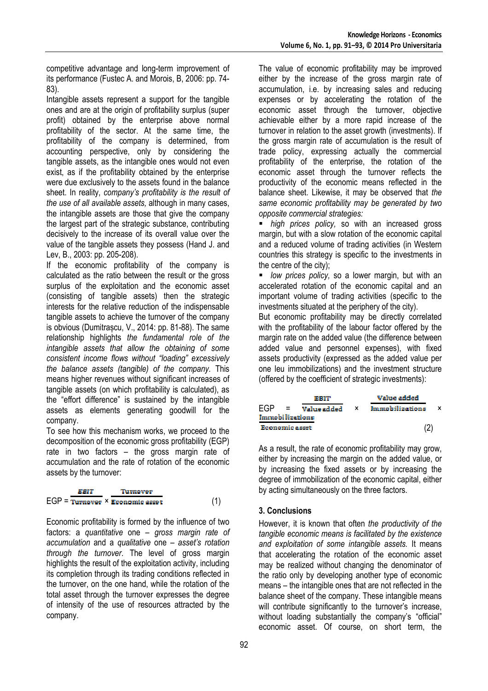competitive advantage and long-term improvement of its performance (Fustec A. and Morois, B, 2006: pp. 74- 83).

Intangible assets represent a support for the tangible ones and are at the origin of profitability surplus (super profit) obtained by the enterprise above normal profitability of the sector. At the same time, the profitability of the company is determined, from accounting perspective, only by considering the tangible assets, as the intangible ones would not even exist, as if the profitability obtained by the enterprise were due exclusively to the assets found in the balance sheet. In reality, *company's profitability is the result of the use of all available assets,* although in many cases, the intangible assets are those that give the company the largest part of the strategic substance, contributing decisively to the increase of its overall value over the value of the tangible assets they possess (Hand J. and Lev, B., 2003: pp. 205-208).

If the economic profitability of the company is calculated as the ratio between the result or the gross surplus of the exploitation and the economic asset (consisting of tangible assets) then the strategic interests for the relative reduction of the indispensable tangible assets to achieve the turnover of the company is obvious (Dumitrașcu, V., 2014: pp. 81-88). The same relationship highlights *the fundamental role of the intangible assets that allow the obtaining of some consistent income flows without "loading" excessively the balance assets (tangible) of the company.* This means higher revenues without significant increases of tangible assets (on which profitability is calculated), as the "effort difference" is sustained by the intangible assets as elements generating goodwill for the company.

To see how this mechanism works, we proceed to the decomposition of the economic gross profitability (EGP) rate in two factors – the gross margin rate of accumulation and the rate of rotation of the economic assets by the turnover:

$$
EGP = \frac{EBIT}{Turnover} \times \frac{Turnover}{Economic asset}
$$
 (1)

Economic profitability is formed by the influence of two factors: a *quantitative* one – *gross margin rate of accumulation* and a *qualitative* one – *asset's rotation through the turnover*. The level of gross margin highlights the result of the exploitation activity, including its completion through its trading conditions reflected in the turnover, on the one hand, while the rotation of the total asset through the turnover expresses the degree of intensity of the use of resources attracted by the company.

The value of economic profitability may be improved either by the increase of the gross margin rate of accumulation, i.e. by increasing sales and reducing expenses or by accelerating the rotation of the economic asset through the turnover, objective achievable either by a more rapid increase of the turnover in relation to the asset growth (investments). If the gross margin rate of accumulation is the result of trade policy, expressing actually the commercial profitability of the enterprise, the rotation of the economic asset through the turnover reflects the productivity of the economic means reflected in the balance sheet. Likewise, it may be observed that *the same economic profitability may be generated by two opposite commercial strategies:* 

 *high prices policy,* so with an increased gross margin, but with a slow rotation of the economic capital and a reduced volume of trading activities (in Western countries this strategy is specific to the investments in the centre of the city);

 *low prices policy,* so a lower margin, but with an accelerated rotation of the economic capital and an important volume of trading activities (specific to the investments situated at the periphery of the city).

But economic profitability may be directly correlated with the profitability of the labour factor offered by the margin rate on the added value (the difference between added value and personnel expenses), with fixed assets productivity (expressed as the added value per one leu immobilizations) and the investment structure (offered by the coefficient of strategic investments):

|                 |  | tari t          |     | Value added     |  |
|-----------------|--|-----------------|-----|-----------------|--|
| FGP             |  | $=$ Value added | — x | Immobilizations |  |
| Immobilizations |  |                 |     |                 |  |
| Economic asset  |  |                 |     |                 |  |

As a result, the rate of economic profitability may grow, either by increasing the margin on the added value, or by increasing the fixed assets or by increasing the degree of immobilization of the economic capital, either by acting simultaneously on the three factors.

## **3. Conclusions**

However, it is known that often *the productivity of the tangible economic means is facilitated by the existence and exploitation of some intangible assets.* It means that accelerating the rotation of the economic asset may be realized without changing the denominator of the ratio only by developing another type of economic means – the intangible ones that are not reflected in the balance sheet of the company. These intangible means will contribute significantly to the turnover's increase. without loading substantially the company's "official" economic asset. Of course, on short term, the